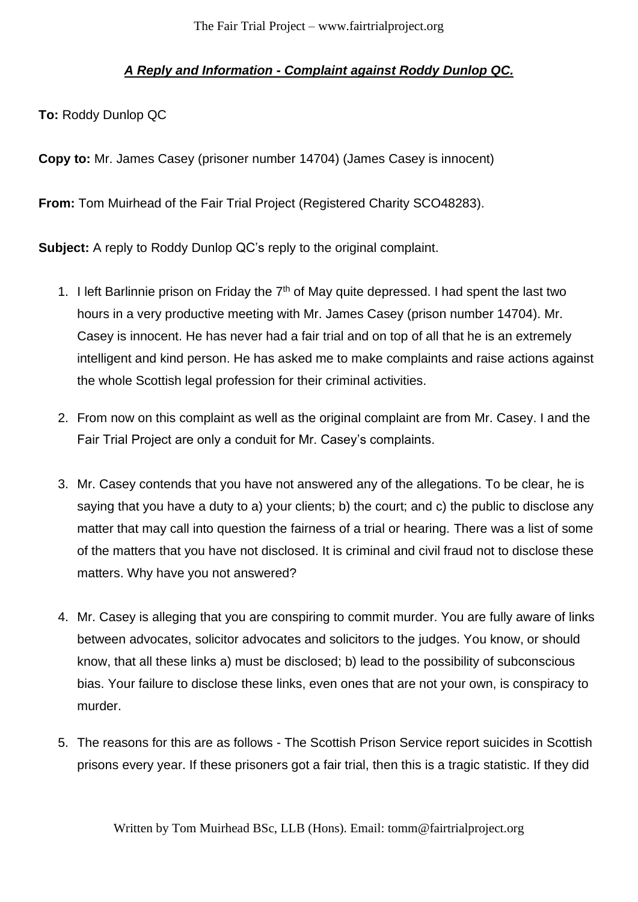## *A Reply and Information - Complaint against Roddy Dunlop QC.*

**To:** Roddy Dunlop QC

**Copy to:** Mr. James Casey (prisoner number 14704) (James Casey is innocent)

**From:** Tom Muirhead of the Fair Trial Project (Registered Charity SCO48283).

**Subject:** A reply to Roddy Dunlop QC's reply to the original complaint.

- 1. I left Barlinnie prison on Friday the  $7<sup>th</sup>$  of May quite depressed. I had spent the last two hours in a very productive meeting with Mr. James Casey (prison number 14704). Mr. Casey is innocent. He has never had a fair trial and on top of all that he is an extremely intelligent and kind person. He has asked me to make complaints and raise actions against the whole Scottish legal profession for their criminal activities.
- 2. From now on this complaint as well as the original complaint are from Mr. Casey. I and the Fair Trial Project are only a conduit for Mr. Casey's complaints.
- 3. Mr. Casey contends that you have not answered any of the allegations. To be clear, he is saying that you have a duty to a) your clients; b) the court; and c) the public to disclose any matter that may call into question the fairness of a trial or hearing. There was a list of some of the matters that you have not disclosed. It is criminal and civil fraud not to disclose these matters. Why have you not answered?
- 4. Mr. Casey is alleging that you are conspiring to commit murder. You are fully aware of links between advocates, solicitor advocates and solicitors to the judges. You know, or should know, that all these links a) must be disclosed; b) lead to the possibility of subconscious bias. Your failure to disclose these links, even ones that are not your own, is conspiracy to murder.
- 5. The reasons for this are as follows The Scottish Prison Service report suicides in Scottish prisons every year. If these prisoners got a fair trial, then this is a tragic statistic. If they did

Written by Tom Muirhead BSc, LLB (Hons). Email: tomm@fairtrialproject.org